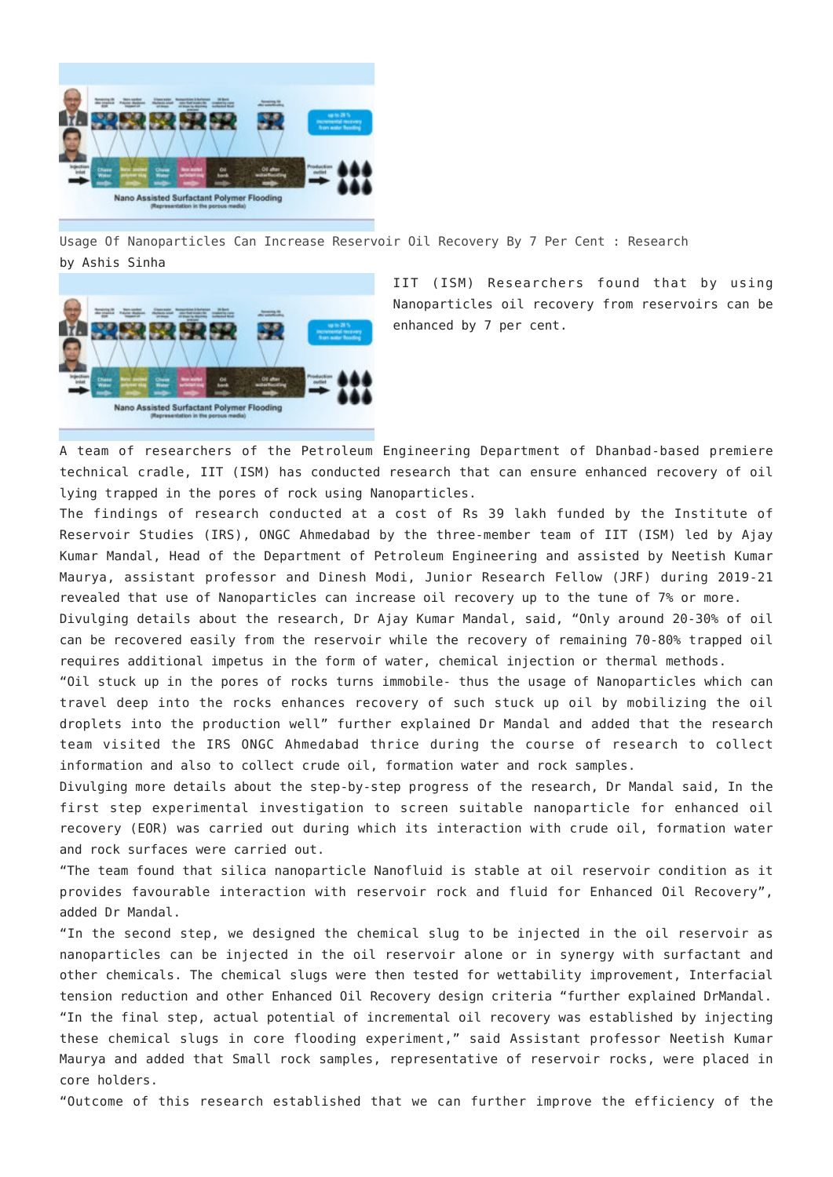

[Usage Of Nanoparticles Can Increase Reservoir Oil Recovery By 7 Per Cent : Research](http://www.jharkhandmirror.net/usage-of-nanoparticles-can-increase-reservoir-oil-recovery-by-7-per-cent-research/) by Ashis Sinha



IIT (ISM) Researchers found that by using Nanoparticles oil recovery from reservoirs can be enhanced by 7 per cent.

A team of researchers of the Petroleum Engineering Department of Dhanbad-based premiere technical cradle, IIT (ISM) has conducted research that can ensure enhanced recovery of oil lying trapped in the pores of rock using Nanoparticles.

The findings of research conducted at a cost of Rs 39 lakh funded by the Institute of Reservoir Studies (IRS), ONGC Ahmedabad by the three-member team of IIT (ISM) led by Ajay Kumar Mandal, Head of the Department of Petroleum Engineering and assisted by Neetish Kumar Maurya, assistant professor and Dinesh Modi, Junior Research Fellow (JRF) during 2019-21 revealed that use of Nanoparticles can increase oil recovery up to the tune of 7% or more.

Divulging details about the research, Dr Ajay Kumar Mandal, said, "Only around 20-30% of oil can be recovered easily from the reservoir while the recovery of remaining 70-80% trapped oil requires additional impetus in the form of water, chemical injection or thermal methods.

"Oil stuck up in the pores of rocks turns immobile- thus the usage of Nanoparticles which can travel deep into the rocks enhances recovery of such stuck up oil by mobilizing the oil droplets into the production well" further explained Dr Mandal and added that the research team visited the IRS ONGC Ahmedabad thrice during the course of research to collect information and also to collect crude oil, formation water and rock samples.

Divulging more details about the step-by-step progress of the research, Dr Mandal said, In the first step experimental investigation to screen suitable nanoparticle for enhanced oil recovery (EOR) was carried out during which its interaction with crude oil, formation water and rock surfaces were carried out.

"The team found that silica nanoparticle Nanofluid is stable at oil reservoir condition as it provides favourable interaction with reservoir rock and fluid for Enhanced Oil Recovery", added Dr Mandal.

"In the second step, we designed the chemical slug to be injected in the oil reservoir as nanoparticles can be injected in the oil reservoir alone or in synergy with surfactant and other chemicals. The chemical slugs were then tested for wettability improvement, Interfacial tension reduction and other Enhanced Oil Recovery design criteria "further explained DrMandal. "In the final step, actual potential of incremental oil recovery was established by injecting

these chemical slugs in core flooding experiment," said Assistant professor Neetish Kumar Maurya and added that Small rock samples, representative of reservoir rocks, were placed in core holders.

"Outcome of this research established that we can further improve the efficiency of the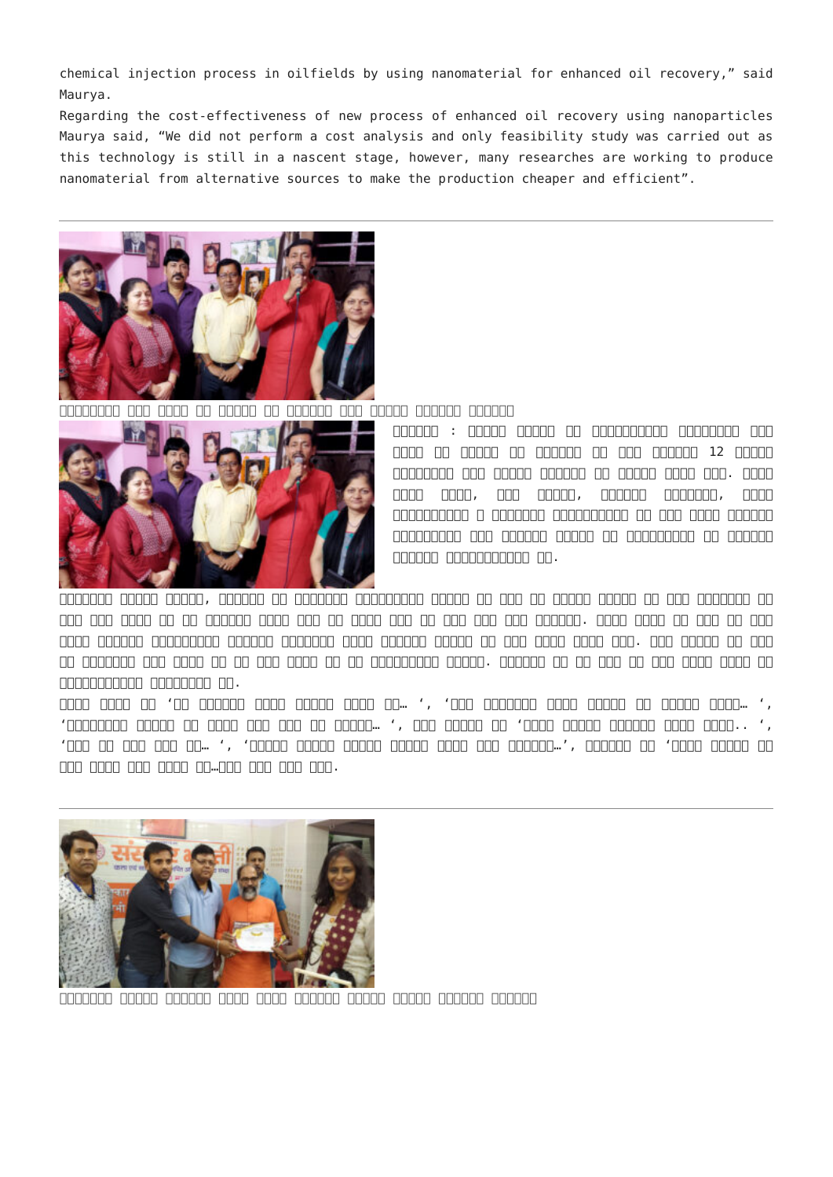chemical injection process in oilfields by using nanomaterial for enhanced oil recovery," said Maurya.

Regarding the cost-effectiveness of new process of enhanced oil recovery using nanoparticles Maurya said, "We did not perform a cost analysis and only feasibility study was carried out as this technology is still in a nascent stage, however, many researches are working to produce nanomaterial from alternative sources to make the production cheaper and efficient".



संगीतकार में संगीत में संगीत पर बोकारो में संगीत मोहन मोहन संगीत संगीत संगीत संगीत संगीत संगीत संगीत संगीत संग



andoon : andoo andoo an andoonadaa andoonaa ana मोहन की जयंती पर शिनवार की शाम सेक्टर 12 स्िथत संगीतालय में संगीत संध्या का आयोजन िकया गया. गायक अरुण पाठक, रमण कुमार, रािगनी अंबष्ठा, अलका श्रीवास्तव व अनािमका श्रीवास्तव ने मदन मोहन द्वारा संगीतबद्ध कुछ यादगार गीतों की प्रस्तुित से उन्हें  $1000000$  00000000000  $00$ .

िवज्ञान जागरण सिमित, झारखंड के महासिचव राजेन्द्र कुमार ने कहा िक िफल्म संगीत को िजस माधुर्य के साथ मदन में साथ पहने बाद संवारा उसके अरुण की सदैव अपने बाद के सदैव अपने अपने अपने अरुण पाठक ने कहा कि मदिन का  $\Box$  and all and the compact and the compact of the state of the state of the state of  $\Box$  and  $\Box$  and  $\Box$  $\Box$  and the form of the state of the form of the state and dependent of the the the theories of the theories form प्रितभाशाली संगीतकार थे.

अरुण पाठक ने 'ये दुिनया नहीं जागीर िकसी की… ', 'मैं िनगाहें तेरे चेहरे से हटाऊं कैसे… ',  $'$ הם הספסם הספסם הספסם הספס הספס ... ', הם הספסם הם 'הספסם הם ', הספס הספסם הספסם הספסם הספסם ', ',  $'$ םם סם סםם סםם מם… ', 'מסםםם סםםם סםםם סםםם סםםם סםםם סםםם מםם ושלום...', סםםםם סם 'מסם סםם' कोई नींद िलए जाता है…आिद गीत पेश िकए.



 $\Box$ adaadaa aadaa qoogaa qoogaa qoogaa qoogaa qoogaa qoogaa qoogaa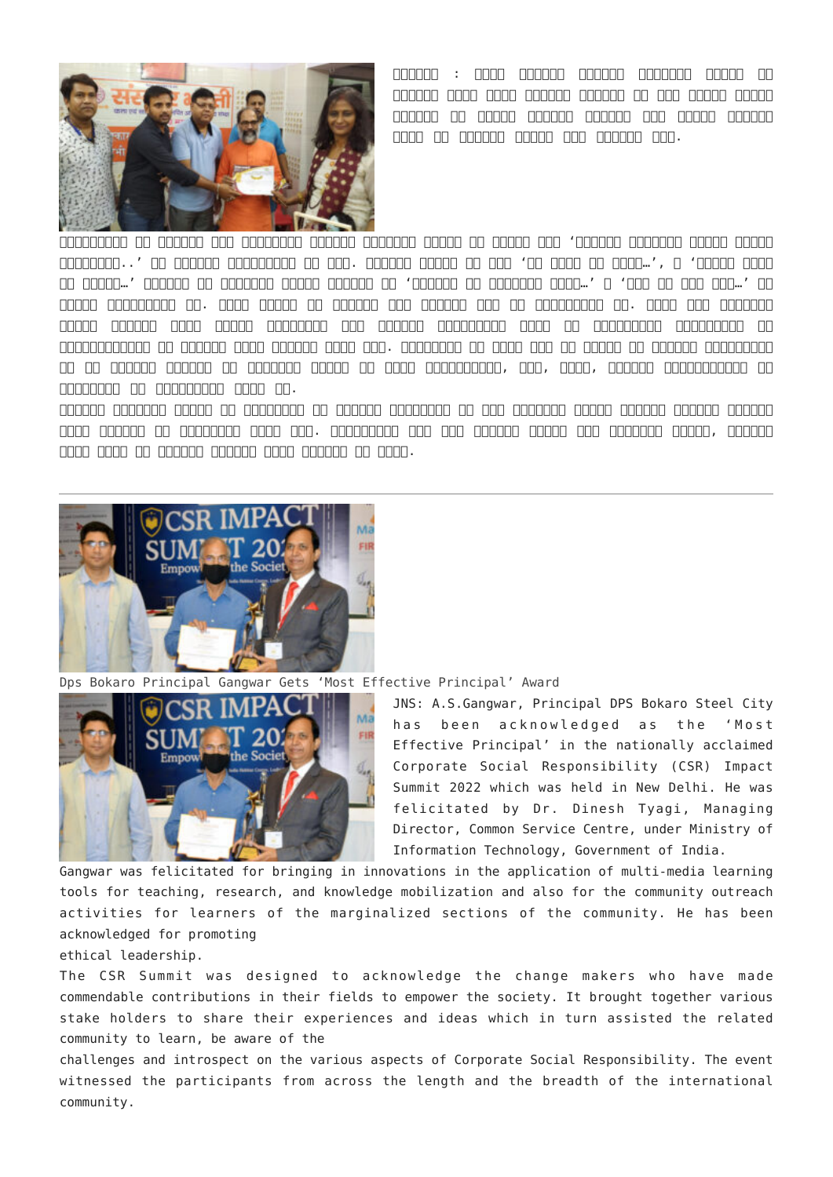

 $\Box$ aadaa : aada aadaaa aadaaa aadaaa aadaa aa बोकारो िजला इकाई द्वारा शिनवार की शाम मािसक संगीत गोष्ठी का आयोजन भोजपुर कॉलोनी चास स्िथत िचन्मय  $\Box$ 

कार्यक्रम की शुरुआत बाल कलाकारों द्वारा संस्कार भारती के ध्येय गीत 'साधयित संस्कार भारती भारते  $\Box$ הם המספרי. ' הם מספסם הם המספר הם המספר הם המספר הם מספרים הם הם מספרים לאחר הם יהודי הם וכם הם הם וכן הם है ज्ञान ...' त्यानवा के अव्यवहार के अस्था के अध्यक्ष के अनुवाद को सदा ने अपने ...' व 'गाव को सदा भग को सदा भ सुंदर प्रस्तुित की. रूपम पांडे ने हनुमान एवं दुर्गा भजन की प्रस्तुित की. इसके बाद संस्कार भारती द्वारा िवगत िदनों जमशेदपुर में आयोिजत प्रान्तीय स्तर के नाट्यबोधन कार्यक्रम के प्रितभािगयों को प्रमाण पत्र प्रदान िकया गया. कलाकारों ने बुधु भगत की जीवनी पर आधािरत प्रस्तुित वि एक वक्तवान बाकाराव पर बाकारावर प्राप्तक की राजा बाकारावर्ताकार, बढा, बवक, बाकाराव बाकारावर्तावर्ता का कलाकारों को प्रिशक्षण िदया था.

बोकारो संस्कार भारती के कलाकारों को स्वामी राघवानंद जी एवं अध्यक्ष अमरजी िसन्हा द्वारा प्रमाण  $\Box$ una daadaa oo adaadaa qaaq qaa. qaaqaadaa qaa qaa qaadaa qaaqa qaaqaaq qaaqa $\,$  qaaqaa िजला इकाई के मंत्री स्वरूप शेखर पांडेय ने िकया.



[Dps Bokaro Principal Gangwar Gets 'Most Effective Principal' Award](http://www.jharkhandmirror.net/dps-bokaro-principal-gangwar-gets-most-effective-principal-award/)



JNS: A.S.Gangwar, Principal DPS Bokaro Steel City has been acknowledged as the 'Most Effective Principal' in the nationally acclaimed Corporate Social Responsibility (CSR) Impact Summit 2022 which was held in New Delhi. He was felicitated by Dr. Dinesh Tyagi, Managing Director, Common Service Centre, under Ministry of Information Technology, Government of India.

Gangwar was felicitated for bringing in innovations in the application of multi-media learning tools for teaching, research, and knowledge mobilization and also for the community outreach activities for learners of the marginalized sections of the community. He has been acknowledged for promoting

ethical leadership.

The CSR Summit was designed to acknowledge the change makers who have made commendable contributions in their fields to empower the society. It brought together various stake holders to share their experiences and ideas which in turn assisted the related community to learn, be aware of the

challenges and introspect on the various aspects of Corporate Social Responsibility. The event witnessed the participants from across the length and the breadth of the international community.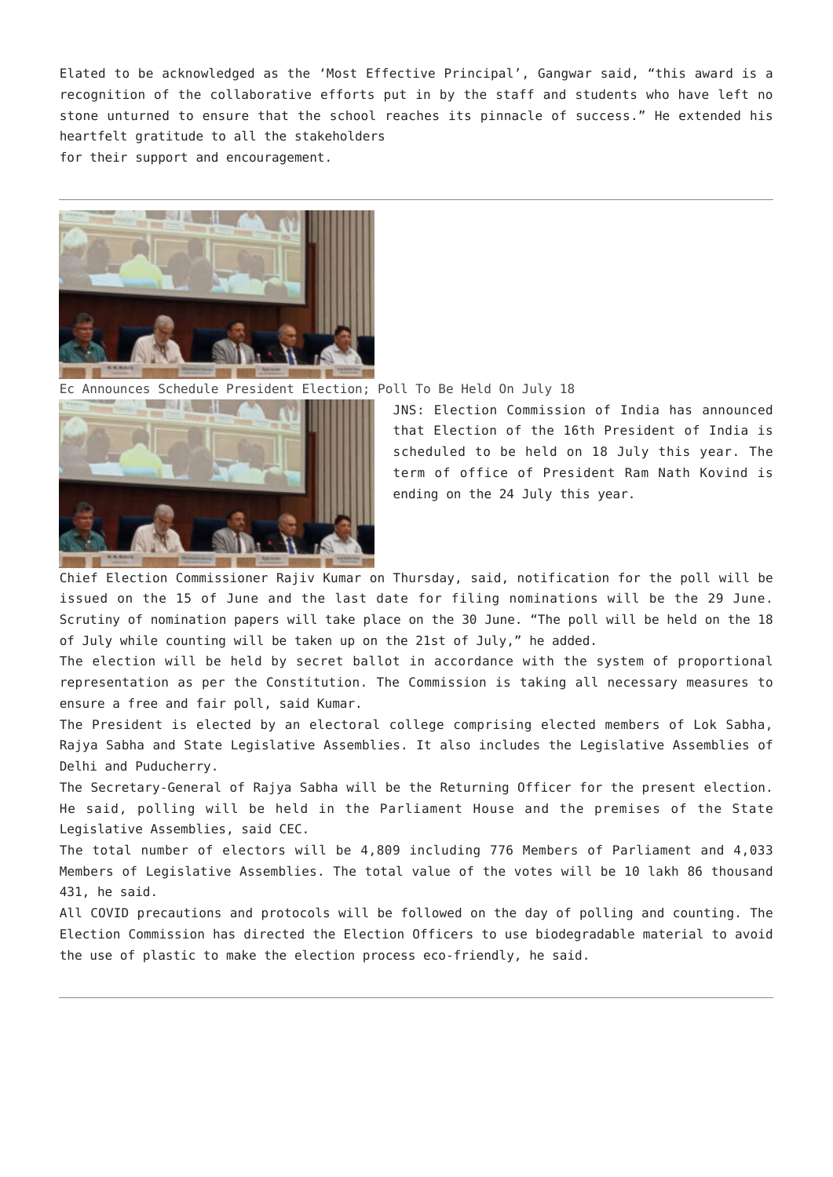Elated to be acknowledged as the 'Most Effective Principal', Gangwar said, "this award is a recognition of the collaborative efforts put in by the staff and students who have left no stone unturned to ensure that the school reaches its pinnacle of success." He extended his heartfelt gratitude to all the stakeholders for their support and encouragement.



[Ec Announces Schedule President Election; Poll To Be Held On July 18](http://www.jharkhandmirror.net/ec-announces-schedule-president-election-poll-to-be-held-on-july-18/)



JNS: Election Commission of India has announced that Election of the 16th President of India is scheduled to be held on 18 July this year. The term of office of President Ram Nath Kovind is ending on the 24 July this year.

Chief Election Commissioner Rajiv Kumar on Thursday, said, notification for the poll will be issued on the 15 of June and the last date for filing nominations will be the 29 June. Scrutiny of nomination papers will take place on the 30 June. "The poll will be held on the 18 of July while counting will be taken up on the 21st of July," he added.

The election will be held by secret ballot in accordance with the system of proportional representation as per the Constitution. The Commission is taking all necessary measures to ensure a free and fair poll, said Kumar.

The President is elected by an electoral college comprising elected members of Lok Sabha, Rajya Sabha and State Legislative Assemblies. It also includes the Legislative Assemblies of Delhi and Puducherry.

The Secretary-General of Rajya Sabha will be the Returning Officer for the present election. He said, polling will be held in the Parliament House and the premises of the State Legislative Assemblies, said CEC.

The total number of electors will be 4,809 including 776 Members of Parliament and 4,033 Members of Legislative Assemblies. The total value of the votes will be 10 lakh 86 thousand 431, he said.

All COVID precautions and protocols will be followed on the day of polling and counting. The Election Commission has directed the Election Officers to use biodegradable material to avoid the use of plastic to make the election process eco-friendly, he said.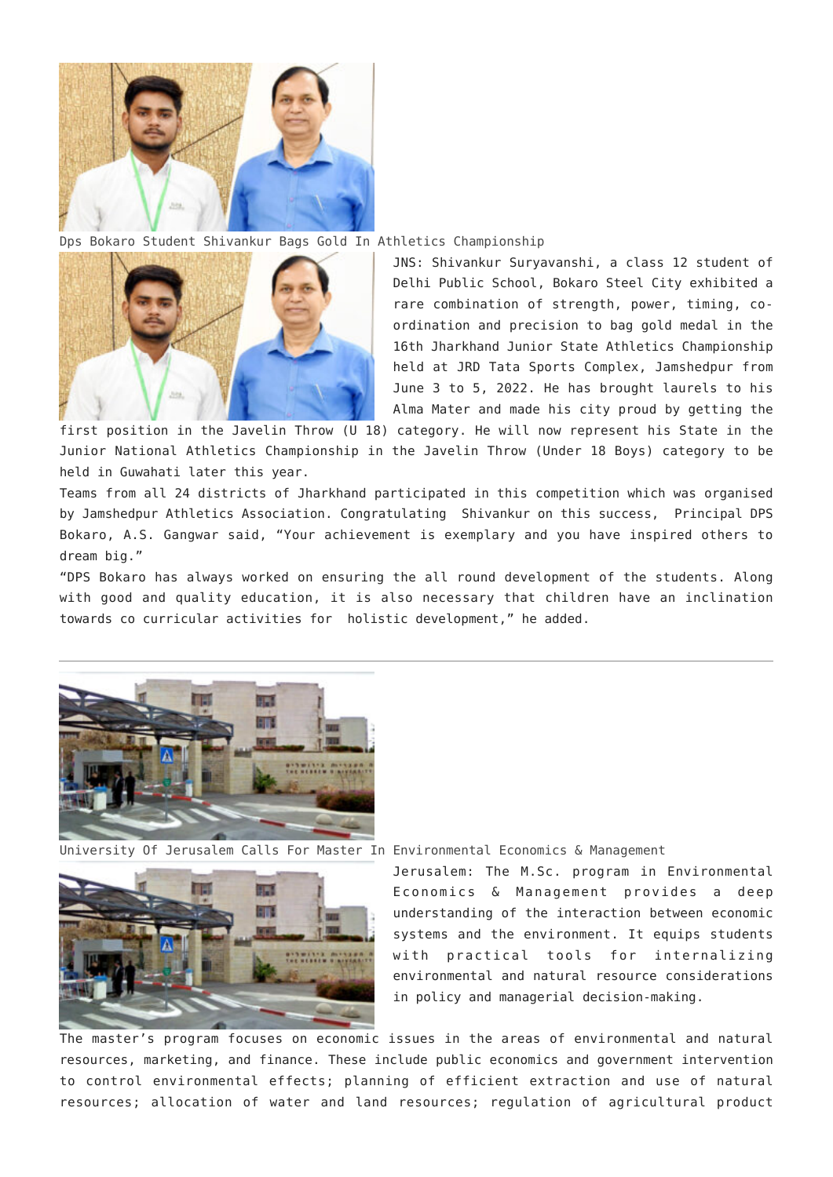

[Dps Bokaro Student Shivankur Bags Gold In Athletics Championship](http://www.jharkhandmirror.net/dps-bokaro-student-shivankur-bags-gold-in-athletics-championship/)



JNS: Shivankur Suryavanshi, a class 12 student of Delhi Public School, Bokaro Steel City exhibited a rare combination of strength, power, timing, coordination and precision to bag gold medal in the 16th Jharkhand Junior State Athletics Championship held at JRD Tata Sports Complex, Jamshedpur from June 3 to 5, 2022. He has brought laurels to his Alma Mater and made his city proud by getting the

first position in the Javelin Throw (U 18) category. He will now represent his State in the Junior National Athletics Championship in the Javelin Throw (Under 18 Boys) category to be held in Guwahati later this year.

Teams from all 24 districts of Jharkhand participated in this competition which was organised by Jamshedpur Athletics Association. Congratulating Shivankur on this success, Principal DPS Bokaro, A.S. Gangwar said, "Your achievement is exemplary and you have inspired others to dream big."

"DPS Bokaro has always worked on ensuring the all round development of the students. Along with good and quality education, it is also necessary that children have an inclination towards co curricular activities for holistic development," he added.



[University Of Jerusalem Calls For Master In Environmental Economics & Management](http://www.jharkhandmirror.net/university-of-jerusalem-calls-for-master-in-environmental-economics-management/)



Jerusalem: The M.Sc. program in Environmental Economics & Management provides a deep understanding of the interaction between economic systems and the environment. It equips students with practical tools for internalizing environmental and natural resource considerations in policy and managerial decision-making.

The master's program focuses on economic issues in the areas of environmental and natural resources, marketing, and finance. These include public economics and government intervention to control environmental effects; planning of efficient extraction and use of natural resources; allocation of water and land resources; regulation of agricultural product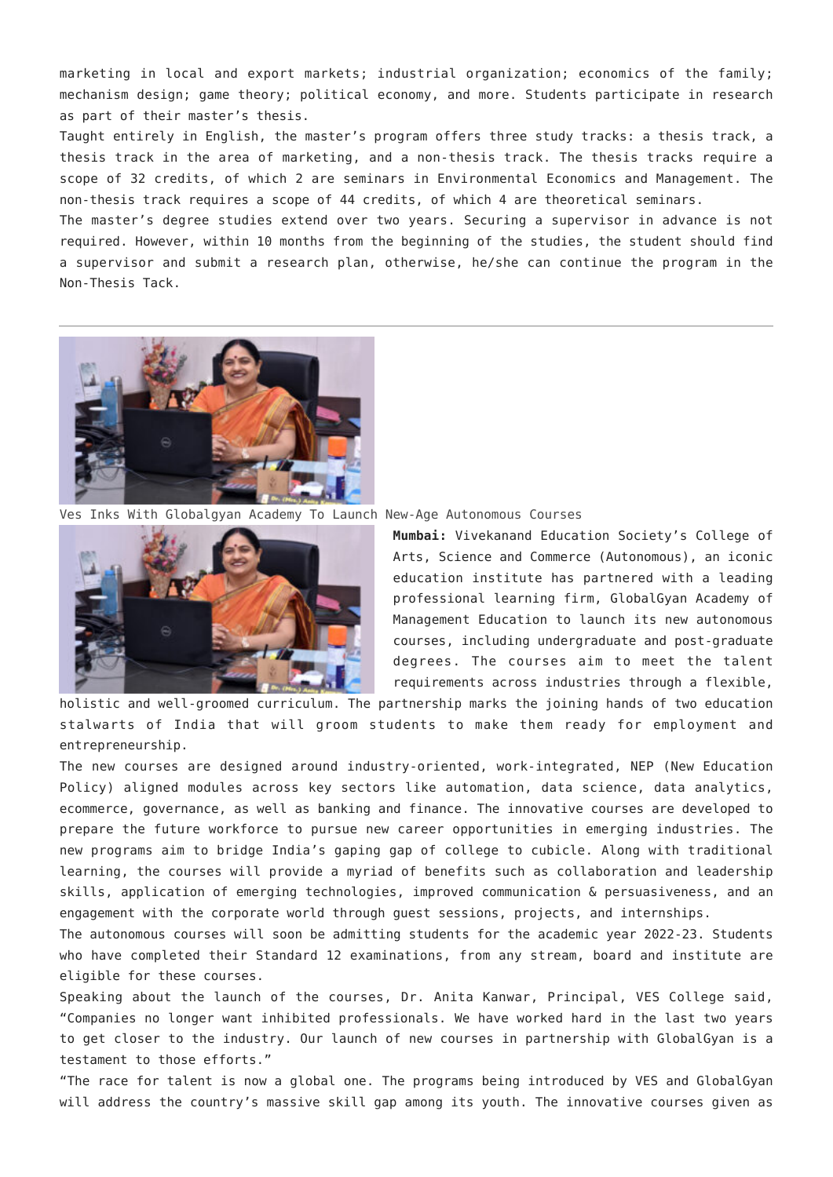marketing in local and export markets; industrial organization; economics of the family; mechanism design; game theory; political economy, and more. Students participate in research as part of their master's thesis.

Taught entirely in English, the master's program offers three study tracks: a thesis track, a thesis track in the area of marketing, and a non-thesis track. The thesis tracks require a scope of 32 credits, of which 2 are seminars in Environmental Economics and Management. The non-thesis track requires a scope of 44 credits, of which 4 are theoretical seminars.

The master's degree studies extend over two years. Securing a supervisor in advance is not required. However, within 10 months from the beginning of the studies, the student should find a supervisor and submit a research plan, otherwise, he/she can continue the program in the Non-Thesis Tack.



[Ves Inks With Globalgyan Academy To Launch New-Age Autonomous Courses](http://www.jharkhandmirror.net/ves-inks-with-globalgyan-academy-to-launch-new-age-autonomous-courses/)



**Mumbai:** Vivekanand Education Society's College of Arts, Science and Commerce (Autonomous), an iconic education institute has partnered with a leading professional learning firm, GlobalGyan Academy of Management Education to launch its new autonomous courses, including undergraduate and post-graduate degrees. The courses aim to meet the talent requirements across industries through a flexible,

holistic and well-groomed curriculum. The partnership marks the joining hands of two education stalwarts of India that will groom students to make them ready for employment and entrepreneurship.

The new courses are designed around industry-oriented, work-integrated, NEP (New Education Policy) aligned modules across key sectors like automation, data science, data analytics, ecommerce, governance, as well as banking and finance. The innovative courses are developed to prepare the future workforce to pursue new career opportunities in emerging industries. The new programs aim to bridge India's gaping gap of college to cubicle. Along with traditional learning, the courses will provide a myriad of benefits such as collaboration and leadership skills, application of emerging technologies, improved communication & persuasiveness, and an engagement with the corporate world through guest sessions, projects, and internships.

The autonomous courses will soon be admitting students for the academic year 2022-23. Students who have completed their Standard 12 examinations, from any stream, board and institute are eligible for these courses.

Speaking about the launch of the courses, Dr. Anita Kanwar, Principal, VES College said, "Companies no longer want inhibited professionals. We have worked hard in the last two years to get closer to the industry. Our launch of new courses in partnership with GlobalGyan is a testament to those efforts."

"The race for talent is now a global one. The programs being introduced by VES and GlobalGyan will address the country's massive skill gap among its youth. The innovative courses given as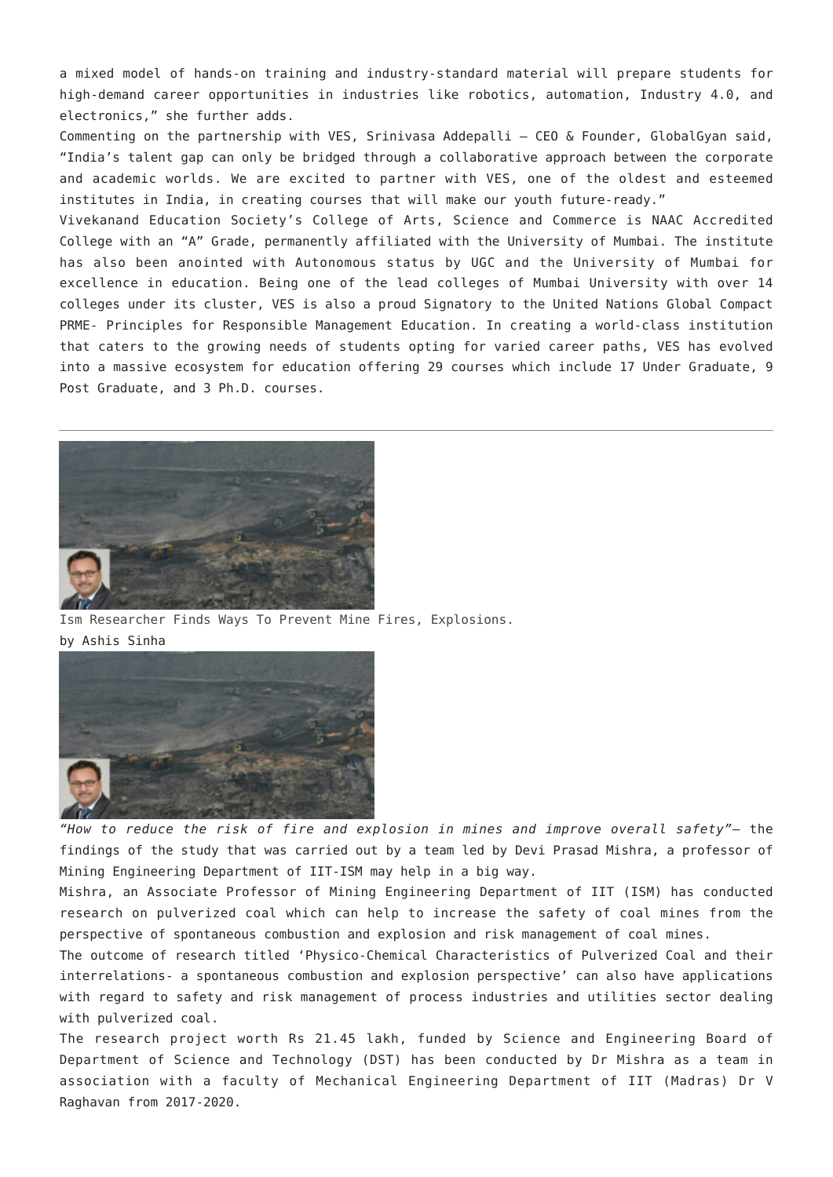a mixed model of hands-on training and industry-standard material will prepare students for high-demand career opportunities in industries like robotics, automation, Industry 4.0, and electronics," she further adds.

Commenting on the partnership with VES, Srinivasa Addepalli – CEO & Founder, GlobalGyan said, "India's talent gap can only be bridged through a collaborative approach between the corporate and academic worlds. We are excited to partner with VES, one of the oldest and esteemed institutes in India, in creating courses that will make our youth future-ready."

Vivekanand Education Society's College of Arts, Science and Commerce is NAAC Accredited College with an "A" Grade, permanently affiliated with the University of Mumbai. The institute has also been anointed with Autonomous status by UGC and the University of Mumbai for excellence in education. Being one of the lead colleges of Mumbai University with over 14 colleges under its cluster, VES is also a proud Signatory to the United Nations Global Compact PRME- Principles for Responsible Management Education. In creating a world-class institution that caters to the growing needs of students opting for varied career paths, VES has evolved into a massive ecosystem for education offering 29 courses which include 17 Under Graduate, 9 Post Graduate, and 3 Ph.D. courses.



[Ism Researcher Finds Ways To Prevent Mine Fires, Explosions.](http://www.jharkhandmirror.net/ism-researcher-finds-ways-to-prevent-mine-fires-explosions/) by Ashis Sinha



*"How to reduce the risk of fire and explosion in mines and improve overall safety"*— the findings of the study that was carried out by a team led by Devi Prasad Mishra, a professor of Mining Engineering Department of IIT-ISM may help in a big way.

Mishra, an Associate Professor of Mining Engineering Department of IIT (ISM) has conducted research on pulverized coal which can help to increase the safety of coal mines from the perspective of spontaneous combustion and explosion and risk management of coal mines.

The outcome of research titled 'Physico-Chemical Characteristics of Pulverized Coal and their interrelations- a spontaneous combustion and explosion perspective' can also have applications with regard to safety and risk management of process industries and utilities sector dealing with pulverized coal.

The research project worth Rs 21.45 lakh, funded by Science and Engineering Board of Department of Science and Technology (DST) has been conducted by Dr Mishra as a team in association with a faculty of Mechanical Engineering Department of IIT (Madras) Dr V Raghavan from 2017-2020.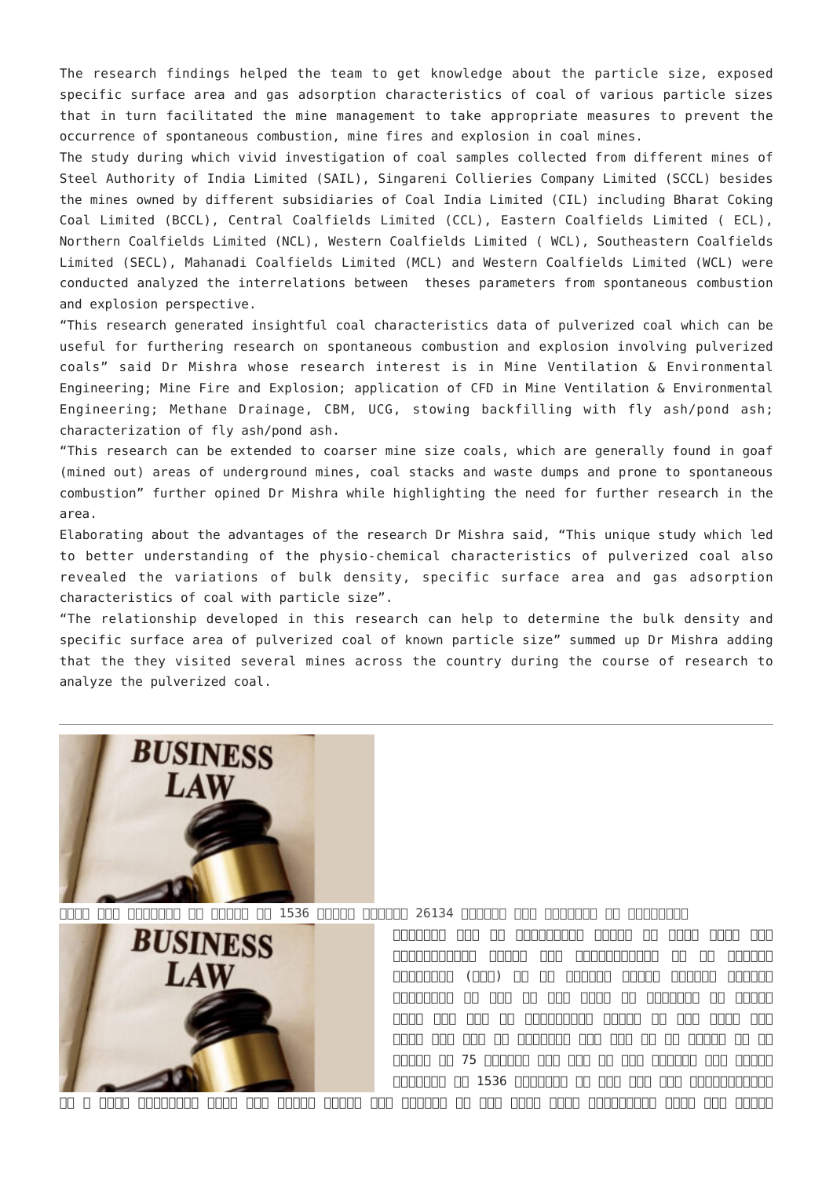The research findings helped the team to get knowledge about the particle size, exposed specific surface area and gas adsorption characteristics of coal of various particle sizes that in turn facilitated the mine management to take appropriate measures to prevent the occurrence of spontaneous combustion, mine fires and explosion in coal mines.

The study during which vivid investigation of coal samples collected from different mines of Steel Authority of India Limited (SAIL), Singareni Collieries Company Limited (SCCL) besides the mines owned by different subsidiaries of Coal India Limited (CIL) including Bharat Coking Coal Limited (BCCL), Central Coalfields Limited (CCL), Eastern Coalfields Limited ( ECL), Northern Coalfields Limited (NCL), Western Coalfields Limited ( WCL), Southeastern Coalfields Limited (SECL), Mahanadi Coalfields Limited (MCL) and Western Coalfields Limited (WCL) were conducted analyzed the interrelations between theses parameters from spontaneous combustion and explosion perspective.

"This research generated insightful coal characteristics data of pulverized coal which can be useful for furthering research on spontaneous combustion and explosion involving pulverized coals" said Dr Mishra whose research interest is in Mine Ventilation & Environmental Engineering; Mine Fire and Explosion; application of CFD in Mine Ventilation & Environmental Engineering; Methane Drainage, CBM, UCG, stowing backfilling with fly ash/pond ash; characterization of fly ash/pond ash.

"This research can be extended to coarser mine size coals, which are generally found in goaf (mined out) areas of underground mines, coal stacks and waste dumps and prone to spontaneous combustion" further opined Dr Mishra while highlighting the need for further research in the area.

Elaborating about the advantages of the research Dr Mishra said, "This unique study which led to better understanding of the physio-chemical characteristics of pulverized coal also revealed the variations of bulk density, specific surface area and gas adsorption characteristics of coal with particle size".

"The relationship developed in this research can help to determine the bulk density and specific surface area of pulverized coal of known particle size" summed up Dr Mishra adding that the they visited several mines across the country during the course of research to analyze the pulverized coal.



[भारत में व्यापार के ढांचे पर 1536 क़ानून िजनमें 26134 धाराओं में कारावास के प्रावधान](http://www.jharkhandmirror.net/%e0%a4%ad%e0%a4%be%e0%a4%b0%e0%a4%a4-%e0%a4%ae%e0%a5%87%e0%a4%82-%e0%a4%b5%e0%a5%8d%e0%a4%af%e0%a4%be%e0%a4%aa%e0%a4%be%e0%a4%b0-%e0%a4%95%e0%a5%87-%e0%a4%a2%e0%a4%be%e0%a4%82/)



जेएनएस। देश के व्यापािरक ढाँचे को बेहद जिटल एवं अन्यायपूर्ण बताते हुए कॉन्फ़ेडरेशन ऑफ़ आल इंिडया ट्रेडर्स (कैट) ने आज िरसर्च संगठन ओबजरवर िरसर्च फ़ाउंडेशन की हाल ही में जारी एक िरपोर्ट का हवाला देते हुए देश के व्यापािरक ढाँचे पर बड़ा सवाल खड़ा  $\Box$  and  $\Box$  and  $\Box$  and  $\Box$  and  $\Box$  and  $\Box$  and  $\Box$  and  $\Box$  and  $\Box$  and  $\Box$  and  $\Box$  and  $\Box$  and  $\Box$  and  $\Box$  and  $\Box$  and  $\Box$  and  $\Box$  and  $\Box$  and  $\Box$  and  $\Box$  and  $\Box$  and  $\Box$  and  $\Box$  and  $\Box$  and  $\Box$  वर्षे प्रभाव के 75 वर्षे प्रभाव के समय में देश भर में के देश भर में के विष्णु के 1536 क़ानूनों के मुख जाल के सरकारों का सरकारों के सरकारों के सरकारों के सरकारों के सरकार जाल में व्य

को न को नगर को नगर को नगर को नगर को बाद करने के तहत है। जब कहत के तहत के तहत है तहत के तहत के तहत के तहत कि तह